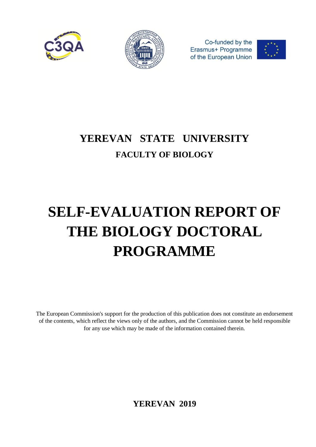



Co-funded by the Erasmus+ Programme of the European Union



# **YEREVAN STATE UNIVERSITY FACULTY OF BIOLOGY**

# **SELF-EVALUATION REPORT OF THE BIOLOGY DOCTORAL PROGRAMME**

The European Commission's support for the production of this publication does not constitute an endorsement of the contents, which reflect the views only of the authors, and the Commission cannot be held responsible for any use which may be made of the information contained therein.

**YEREVAN 2019**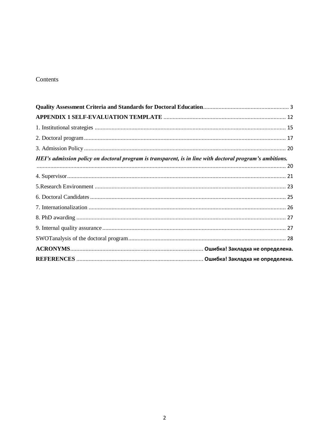## Contents

<span id="page-1-0"></span>

| HEI's admission policy on doctoral program is transparent, is in line with doctoral program's ambitions. |  |
|----------------------------------------------------------------------------------------------------------|--|
|                                                                                                          |  |
|                                                                                                          |  |
|                                                                                                          |  |
|                                                                                                          |  |
|                                                                                                          |  |
|                                                                                                          |  |
|                                                                                                          |  |
|                                                                                                          |  |
|                                                                                                          |  |
|                                                                                                          |  |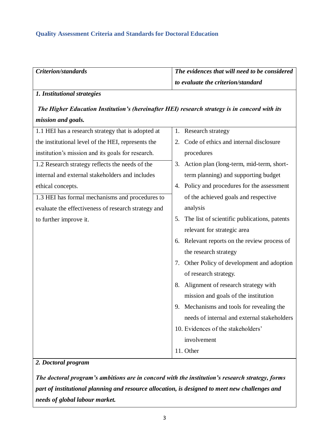## **Quality Assessment Criteria and Standards for Doctoral Education**

| Criterion/standards                                                                           | The evidences that will need to be considered      |
|-----------------------------------------------------------------------------------------------|----------------------------------------------------|
|                                                                                               | to evaluate the criterion/standard                 |
| 1. Institutional strategies                                                                   |                                                    |
| The Higher Education Institution's (hereinafter HEI) research strategy is in concord with its |                                                    |
| mission and goals.                                                                            |                                                    |
| 1.1 HEI has a research strategy that is adopted at                                            | 1. Research strategy                               |
| the institutional level of the HEI, represents the                                            | Code of ethics and internal disclosure<br>2.       |
| institution's mission and its goals for research.                                             | procedures                                         |
| 1.2 Research strategy reflects the needs of the                                               | Action plan (long-term, mid-term, short-<br>3.     |
| internal and external stakeholders and includes                                               | term planning) and supporting budget               |
| ethical concepts.                                                                             | Policy and procedures for the assessment<br>4.     |
| 1.3 HEI has formal mechanisms and procedures to                                               | of the achieved goals and respective               |
| evaluate the effectiveness of research strategy and                                           | analysis                                           |
| to further improve it.                                                                        | The list of scientific publications, patents<br>5. |
|                                                                                               | relevant for strategic area                        |
|                                                                                               | 6. Relevant reports on the review process of       |
|                                                                                               | the research strategy                              |
|                                                                                               | Other Policy of development and adoption<br>7.     |
|                                                                                               | of research strategy.                              |
|                                                                                               | Alignment of research strategy with<br>8.          |
|                                                                                               | mission and goals of the institution               |
|                                                                                               | 9. Mechanisms and tools for revealing the          |
|                                                                                               | needs of internal and external stakeholders        |
|                                                                                               | 10. Evidences of the stakeholders'                 |
|                                                                                               | involvement                                        |
|                                                                                               | 11. Other                                          |
|                                                                                               |                                                    |

#### *2. Doctoral program*

*The doctoral program's ambitions are in concord with the institution's research strategy, forms part of institutional planning and resource allocation, is designed to meet new challenges and needs of global labour market.*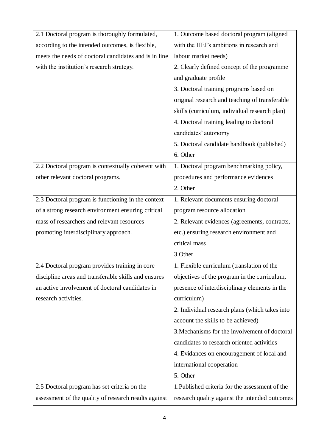| 2.1 Doctoral program is thoroughly formulated,        | 1. Outcome based doctoral program (aligned      |
|-------------------------------------------------------|-------------------------------------------------|
| according to the intended outcomes, is flexible,      | with the HEI's ambitions in research and        |
| meets the needs of doctoral candidates and is in line | labour market needs)                            |
| with the institution's research strategy.             | 2. Clearly defined concept of the programme     |
|                                                       | and graduate profile                            |
|                                                       | 3. Doctoral training programs based on          |
|                                                       | original research and teaching of transferable  |
|                                                       | skills (curriculum, individual research plan)   |
|                                                       | 4. Doctoral training leading to doctoral        |
|                                                       | candidates' autonomy                            |
|                                                       | 5. Doctoral candidate handbook (published)      |
|                                                       | 6. Other                                        |
| 2.2 Doctoral program is contextually coherent with    | 1. Doctoral program benchmarking policy,        |
| other relevant doctoral programs.                     | procedures and performance evidences            |
|                                                       | 2. Other                                        |
| 2.3 Doctoral program is functioning in the context    | 1. Relevant documents ensuring doctoral         |
| of a strong research environment ensuring critical    | program resource allocation                     |
| mass of researchers and relevant resources            | 2. Relevant evidences (agreements, contracts,   |
| promoting interdisciplinary approach.                 | etc.) ensuring research environment and         |
|                                                       | critical mass                                   |
|                                                       | 3.Other                                         |
| 2.4 Doctoral program provides training in core        | 1. Flexible curriculum (translation of the      |
| discipline areas and transferable skills and ensures  | objectives of the program in the curriculum,    |
| an active involvement of doctoral candidates in       | presence of interdisciplinary elements in the   |
| research activities.                                  | curriculum)                                     |
|                                                       | 2. Individual research plans (which takes into  |
|                                                       | account the skills to be achieved)              |
|                                                       | 3. Mechanisms for the involvement of doctoral   |
|                                                       | candidates to research oriented activities      |
|                                                       | 4. Evidances on encouragement of local and      |
|                                                       | international cooperation                       |
|                                                       | 5. Other                                        |
| 2.5 Doctoral program has set criteria on the          | 1. Published criteria for the assessment of the |
| assessment of the quality of research results against | research quality against the intended outcomes  |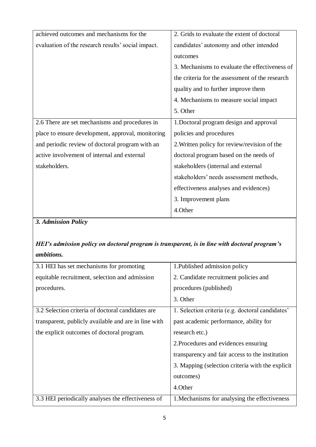| achieved outcomes and mechanisms for the           | 2. Grids to evaluate the extent of doctoral     |
|----------------------------------------------------|-------------------------------------------------|
| evaluation of the research results' social impact. | candidates' autonomy and other intended         |
|                                                    | outcomes                                        |
|                                                    | 3. Mechanisms to evaluate the effectiveness of  |
|                                                    | the criteria for the assessment of the research |
|                                                    | quality and to further improve them             |
|                                                    | 4. Mechanisms to measure social impact          |
|                                                    | 5. Other                                        |
| 2.6 There are set mechanisms and procedures in     | 1. Doctoral program design and approval         |
| place to ensure development, approval, monitoring  | policies and procedures                         |
| and periodic review of doctoral program with an    | 2. Written policy for review/revision of the    |
| active involvement of internal and external        | doctoral program based on the needs of          |
| stakeholders.                                      | stakeholders (internal and external             |
|                                                    | stakeholders' needs assessment methods,         |
|                                                    | effectiveness analyses and evidences)           |
|                                                    | 3. Improvement plans                            |
|                                                    | 4.Other                                         |

# *3. Admission Policy*

# *HEI's admission policy on doctoral program is transparent, is in line with doctoral program's ambitions.*

| 3.1 HEI has set mechanisms for promoting             | 1. Published admission policy                    |
|------------------------------------------------------|--------------------------------------------------|
| equitable recruitment, selection and admission       | 2. Candidate recruitment policies and            |
| procedures.                                          | procedures (published)                           |
|                                                      | 3. Other                                         |
| 3.2 Selection criteria of doctoral candidates are    | 1. Selection criteria (e.g. doctoral candidates' |
| transparent, publicly available and are in line with | past academic performance, ability for           |
| the explicit outcomes of doctoral program.           | research etc.)                                   |
|                                                      | 2. Procedures and evidences ensuring             |
|                                                      | transparency and fair access to the institution  |
|                                                      | 3. Mapping (selection criteria with the explicit |
|                                                      | outcomes)                                        |
|                                                      | 4. Other                                         |
| 3.3 HEI periodically analyses the effectiveness of   | 1. Mechanisms for analysing the effectiveness    |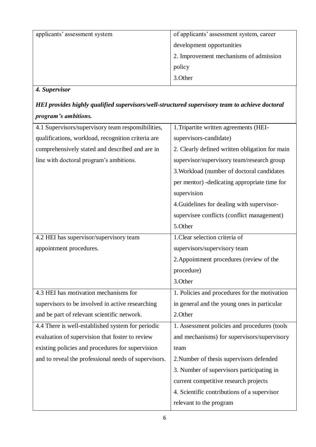| applicants' assessment system | of applicants' assessment system, career |
|-------------------------------|------------------------------------------|
|                               | development opportunities                |
|                               | 2. Improvement mechanisms of admission   |
|                               | policy                                   |
|                               | 3. Other                                 |
| Supervisor                    |                                          |

# *4. Supervisor*

# *HEI provides highly qualified supervisors/well-structured supervisory team to achieve doctoral program's ambitions.*

| 4.1 Supervisors/supervisory team responsibilities,   | 1. Tripartite written agreements (HEI-         |
|------------------------------------------------------|------------------------------------------------|
| qualifications, workload, recognition criteria are   | supervisors-candidate)                         |
|                                                      |                                                |
| comprehensively stated and described and are in      | 2. Clearly defined written obligation for main |
| line with doctoral program's ambitions.              | supervisor/supervisory team/research group     |
|                                                      | 3. Workload (number of doctoral candidates     |
|                                                      | per mentor) - dedicating appropriate time for  |
|                                                      | supervision                                    |
|                                                      | 4. Guidelines for dealing with supervisor-     |
|                                                      | supervisee conflicts (conflict management)     |
|                                                      | 5.Other                                        |
| 4.2 HEI has supervisor/supervisory team              | 1. Clear selection criteria of                 |
| appointment procedures.                              | supervisors/supervisory team                   |
|                                                      | 2. Appointment procedures (review of the       |
|                                                      |                                                |
|                                                      | procedure)                                     |
|                                                      | 3.Other                                        |
| 4.3 HEI has motivation mechanisms for                | 1. Policies and procedures for the motivation  |
| supervisors to be involved in active researching     | in general and the young ones in particular    |
| and be part of relevant scientific network.          | 2.Other                                        |
| 4.4 There is well-established system for periodic    | 1. Assessment policies and procedures (tools   |
| evaluation of supervision that foster to review      | and mechanisms) for supervisors/supervisory    |
| existing policies and procedures for supervision     | team                                           |
| and to reveal the professional needs of supervisors. | 2. Number of thesis supervisors defended       |
|                                                      | 3. Number of supervisors participating in      |
|                                                      | current competitive research projects          |
|                                                      | 4. Scientific contributions of a supervisor    |
|                                                      | relevant to the program                        |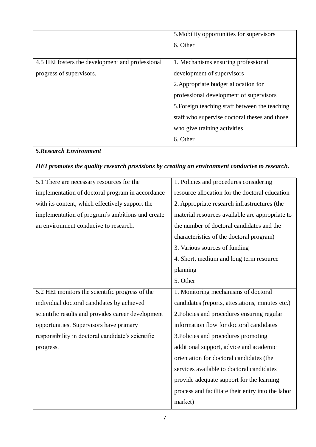|                                                  | 5. Mobility opportunities for supervisors      |
|--------------------------------------------------|------------------------------------------------|
|                                                  | 6. Other                                       |
|                                                  |                                                |
| 4.5 HEI fosters the development and professional | 1. Mechanisms ensuring professional            |
| progress of supervisors.                         | development of supervisors                     |
|                                                  | 2. Appropriate budget allocation for           |
|                                                  | professional development of supervisors        |
|                                                  | 5. Foreign teaching staff between the teaching |
|                                                  | staff who supervise doctoral theses and those  |
|                                                  | who give training activities                   |
|                                                  | 6. Other                                       |

# *5.Research Environment*

# *HEI promotes the quality research provisions by creating an environment conducive to research.*

| 5.1 There are necessary resources for the          | 1. Policies and procedures considering            |
|----------------------------------------------------|---------------------------------------------------|
| implementation of doctoral program in accordance   | resource allocation for the doctoral education    |
| with its content, which effectively support the    | 2. Appropriate research infrastructures (the      |
| implementation of program's ambitions and create   | material resources available are appropriate to   |
| an environment conducive to research.              | the number of doctoral candidates and the         |
|                                                    | characteristics of the doctoral program)          |
|                                                    | 3. Various sources of funding                     |
|                                                    | 4. Short, medium and long term resource           |
|                                                    | planning                                          |
|                                                    | 5. Other                                          |
| 5.2 HEI monitors the scientific progress of the    | 1. Monitoring mechanisms of doctoral              |
| individual doctoral candidates by achieved         | candidates (reports, attestations, minutes etc.)  |
| scientific results and provides career development | 2. Policies and procedures ensuring regular       |
| opportunities. Supervisors have primary            | information flow for doctoral candidates          |
| responsibility in doctoral candidate's scientific  | 3. Policies and procedures promoting              |
| progress.                                          | additional support, advice and academic           |
|                                                    | orientation for doctoral candidates (the          |
|                                                    | services available to doctoral candidates         |
|                                                    | provide adequate support for the learning         |
|                                                    | process and facilitate their entry into the labor |
|                                                    | market)                                           |
|                                                    |                                                   |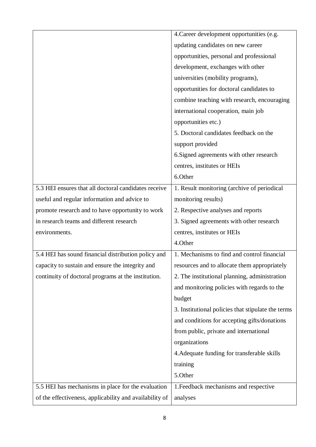|                                                         | 4. Career development opportunities (e.g.          |
|---------------------------------------------------------|----------------------------------------------------|
|                                                         | updating candidates on new career                  |
|                                                         | opportunities, personal and professional           |
|                                                         | development, exchanges with other                  |
|                                                         | universities (mobility programs),                  |
|                                                         | opportunities for doctoral candidates to           |
|                                                         | combine teaching with research, encouraging        |
|                                                         | international cooperation, main job                |
|                                                         | opportunities etc.)                                |
|                                                         | 5. Doctoral candidates feedback on the             |
|                                                         | support provided                                   |
|                                                         | 6. Signed agreements with other research           |
|                                                         | centres, institutes or HEIs                        |
|                                                         | 6.Other                                            |
| 5.3 HEI ensures that all doctoral candidates receive    | 1. Result monitoring (archive of periodical        |
| useful and regular information and advice to            | monitoring results)                                |
| promote research and to have opportunity to work        | 2. Respective analyses and reports                 |
| in research teams and different research                | 3. Signed agreements with other research           |
| environments.                                           | centres, institutes or HEIs                        |
|                                                         | 4.Other                                            |
| 5.4 HEI has sound financial distribution policy and     | 1. Mechanisms to find and control financial        |
| capacity to sustain and ensure the integrity and        | resources and to allocate them appropriately       |
| continuity of doctoral programs at the institution.     | 2. The institutional planning, administration      |
|                                                         | and monitoring policies with regards to the        |
|                                                         | budget                                             |
|                                                         | 3. Institutional policies that stipulate the terms |
|                                                         | and conditions for accepting gifts/donations       |
|                                                         | from public, private and international             |
|                                                         | organizations                                      |
|                                                         | 4. Adequate funding for transferable skills        |
|                                                         | training                                           |
|                                                         | 5.Other                                            |
| 5.5 HEI has mechanisms in place for the evaluation      | 1. Feedback mechanisms and respective              |
| of the effectiveness, applicability and availability of | analyses                                           |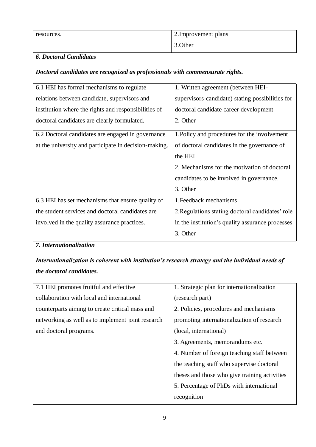| resources. | 2. Improvement plans |
|------------|----------------------|
|            | 3. Other             |

### *6. Doctoral Candidates*

#### *Doctoral candidates are recognized as professionals with commensurate rights.*

| 6.1 HEI has formal mechanisms to regulate             | 1. Written agreement (between HEI-               |
|-------------------------------------------------------|--------------------------------------------------|
| relations between candidate, supervisors and          | supervisors-candidate) stating possibilities for |
| institution where the rights and responsibilities of  | doctoral candidate career development            |
| doctoral candidates are clearly formulated.           | 2. Other                                         |
| 6.2 Doctoral candidates are engaged in governance     | 1. Policy and procedures for the involvement     |
| at the university and participate in decision-making. | of doctoral candidates in the governance of      |
|                                                       | the HEI                                          |
|                                                       | 2. Mechanisms for the motivation of doctoral     |
|                                                       | candidates to be involved in governance.         |
|                                                       | 3. Other                                         |
| 6.3 HEI has set mechanisms that ensure quality of     | 1. Feedback mechanisms                           |
| the student services and doctoral candidates are      | 2. Regulations stating doctoral candidates' role |
| involved in the quality assurance practices.          | in the institution's quality assurance processes |
|                                                       | 3. Other                                         |

# *7. Internationalization*

# *Internationalization is coherent with institution's research strategy and the individual needs of the doctoral candidates.*

| 7.1 HEI promotes fruitful and effective           | 1. Strategic plan for internationalization    |
|---------------------------------------------------|-----------------------------------------------|
| collaboration with local and international        | (research part)                               |
| counterparts aiming to create critical mass and   | 2. Policies, procedures and mechanisms        |
| networking as well as to implement joint research | promoting internationalization of research    |
| and doctoral programs.                            | (local, international)                        |
|                                                   | 3. Agreements, memorandums etc.               |
|                                                   | 4. Number of foreign teaching staff between   |
|                                                   | the teaching staff who supervise doctoral     |
|                                                   | theses and those who give training activities |
|                                                   | 5. Percentage of PhDs with international      |
|                                                   | recognition                                   |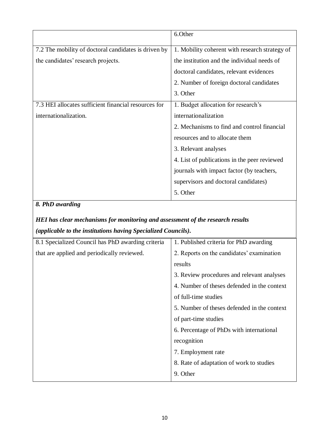|                                                      | 6.Other                                        |
|------------------------------------------------------|------------------------------------------------|
| 7.2 The mobility of doctoral candidates is driven by | 1. Mobility coherent with research strategy of |
|                                                      |                                                |
| the candidates' research projects.                   | the institution and the individual needs of    |
|                                                      | doctoral candidates, relevant evidences        |
|                                                      | 2. Number of foreign doctoral candidates       |
|                                                      | 3. Other                                       |
| 7.3 HEI allocates sufficient financial resources for | 1. Budget allocation for research's            |
| internationalization.                                | internationalization                           |
|                                                      | 2. Mechanisms to find and control financial    |
|                                                      | resources and to allocate them                 |
|                                                      | 3. Relevant analyses                           |
|                                                      | 4. List of publications in the peer reviewed   |
|                                                      | journals with impact factor (by teachers,      |
|                                                      | supervisors and doctoral candidates)           |
|                                                      | 5. Other                                       |

# *8. PhD awarding*

# *HEI has clear mechanisms for monitoring and assessment of the research results (applicable to the institutions having Specialized Councils).*

| 8.1 Specialized Council has PhD awarding criteria | 1. Published criteria for PhD awarding      |
|---------------------------------------------------|---------------------------------------------|
| that are applied and periodically reviewed.       | 2. Reports on the candidates' examination   |
|                                                   | results                                     |
|                                                   | 3. Review procedures and relevant analyses  |
|                                                   | 4. Number of theses defended in the context |
|                                                   | of full-time studies                        |
|                                                   | 5. Number of theses defended in the context |
|                                                   | of part-time studies                        |
|                                                   | 6. Percentage of PhDs with international    |
|                                                   | recognition                                 |
|                                                   | 7. Employment rate                          |
|                                                   | 8. Rate of adaptation of work to studies    |
|                                                   | 9. Other                                    |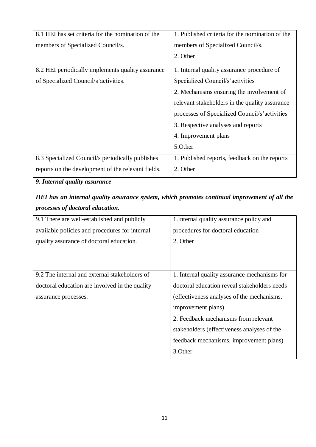| 8.1 HEI has set criteria for the nomination of the | 1. Published criteria for the nomination of the |
|----------------------------------------------------|-------------------------------------------------|
| members of Specialized Council/s.                  | members of Specialized Council/s.               |
|                                                    | 2. Other                                        |
| 8.2 HEI periodically implements quality assurance  | 1. Internal quality assurance procedure of      |
| of Specialized Council/s'activities.               | Specialized Council/s'activities                |
|                                                    | 2. Mechanisms ensuring the involvement of       |
|                                                    | relevant stakeholders in the quality assurance  |
|                                                    | processes of Specialized Council/s'activities   |
|                                                    | 3. Respective analyses and reports              |
|                                                    | 4. Improvement plans                            |
|                                                    | 5.Other                                         |
| 8.3 Specialized Council/s periodically publishes   | 1. Published reports, feedback on the reports   |
| reports on the development of the relevant fields. | 2. Other                                        |

# *9. Internal quality assurance*

# *HEI has an internal quality assurance system, which promotes continual improvement of all the processes of doctoral education.*

| 9.1 There are well-established and publicly    | 1. Internal quality assurance policy and     |
|------------------------------------------------|----------------------------------------------|
| available policies and procedures for internal | procedures for doctoral education            |
| quality assurance of doctoral education.       | 2. Other                                     |
|                                                |                                              |
|                                                |                                              |
| 9.2 The internal and external stakeholders of  | 1. Internal quality assurance mechanisms for |
| doctoral education are involved in the quality | doctoral education reveal stakeholders needs |
| assurance processes.                           | (effectiveness analyses of the mechanisms,   |
|                                                | improvement plans)                           |
|                                                | 2. Feedback mechanisms from relevant         |
|                                                | stakeholders (effectiveness analyses of the  |
|                                                | feedback mechanisms, improvement plans)      |
|                                                | 3. Other                                     |
|                                                |                                              |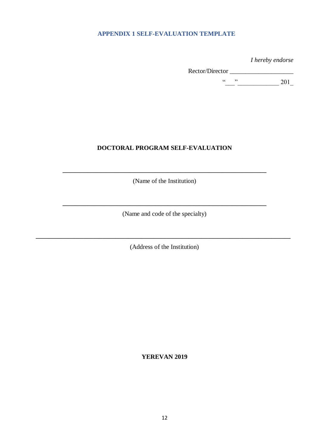#### <span id="page-11-0"></span>**APPENDIX 1 SELF-EVALUATION TEMPLATE**

*I hereby endorse* 

Rector/Director \_\_\_\_\_\_\_\_\_\_\_\_\_\_\_\_\_\_\_\_  $\frac{u}{201}$  201

#### **DOCTORAL PROGRAM SELF-EVALUATION**

(Name of the Institution)

**\_\_\_\_\_\_\_\_\_\_\_\_\_\_\_\_\_\_\_\_\_\_\_\_\_\_\_\_\_\_\_\_\_\_\_\_\_\_\_\_\_\_\_\_\_\_\_\_\_\_\_\_\_\_\_\_\_\_\_\_\_\_\_\_**

**\_\_\_\_\_\_\_\_\_\_\_\_\_\_\_\_\_\_\_\_\_\_\_\_\_\_\_\_\_\_\_\_\_\_\_\_\_\_\_\_\_\_\_\_\_\_\_\_\_\_\_\_\_\_\_\_\_\_\_\_\_\_\_\_** (Name and code of the specialty)

(Address of the Institution)

**\_\_\_\_\_\_\_\_\_\_\_\_\_\_\_\_\_\_\_\_\_\_\_\_\_\_\_\_\_\_\_\_\_\_\_\_\_\_\_\_\_\_\_\_\_\_\_\_\_\_\_\_\_\_\_\_\_\_\_\_\_\_\_\_\_\_\_\_\_\_\_\_\_\_\_\_\_\_\_\_**

**YEREVAN 2019**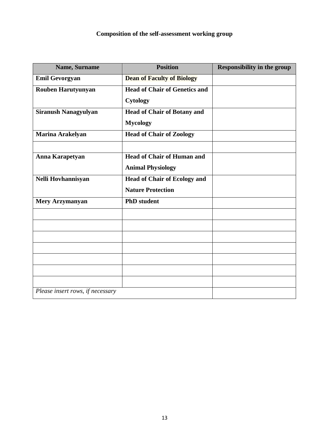# **Composition of the self-assessment working group**

| Name, Surname                    | <b>Position</b>                      | <b>Responsibility in the group</b> |
|----------------------------------|--------------------------------------|------------------------------------|
| <b>Emil Gevorgyan</b>            | <b>Dean of Faculty of Biology</b>    |                                    |
| Rouben Harutyunyan               | <b>Head of Chair of Genetics and</b> |                                    |
|                                  | Cytology                             |                                    |
| <b>Siranush Nanagyulyan</b>      | <b>Head of Chair of Botany and</b>   |                                    |
|                                  | <b>Mycology</b>                      |                                    |
| <b>Marina Arakelyan</b>          | <b>Head of Chair of Zoology</b>      |                                    |
|                                  |                                      |                                    |
| Anna Karapetyan                  | <b>Head of Chair of Human and</b>    |                                    |
|                                  | <b>Animal Physiology</b>             |                                    |
| Nelli Hovhannisyan               | <b>Head of Chair of Ecology and</b>  |                                    |
|                                  | <b>Nature Protection</b>             |                                    |
| <b>Mery Arzymanyan</b>           | <b>PhD</b> student                   |                                    |
|                                  |                                      |                                    |
|                                  |                                      |                                    |
|                                  |                                      |                                    |
|                                  |                                      |                                    |
|                                  |                                      |                                    |
|                                  |                                      |                                    |
|                                  |                                      |                                    |
| Please insert rows, if necessary |                                      |                                    |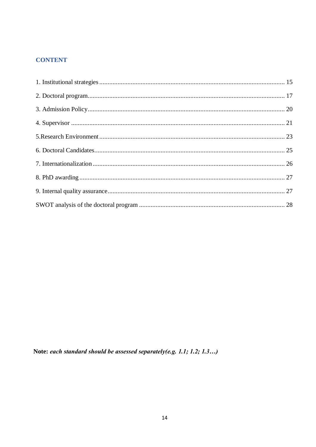# **CONTENT**

Note: each standard should be assessed separately(e.g. 1.1; 1.2; 1.3...)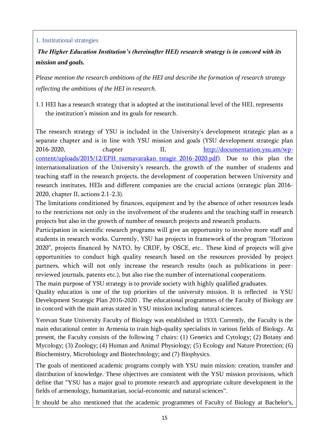#### <span id="page-14-0"></span>1. Institutional strategies

*The Higher Education Institution's (hereinafter HEI) research strategy is in concord with its mission and goals.* 

*Please mention the research ambitions of the HEI and describe the formation of research strategy reflecting the ambitions of the HEI in research.*

1.1 HEI has a research strategy that is adopted at the institutional level of the HEI, represents the institution's mission and its goals for research.

The research strategy of YSU is included in the University's development strategic plan as a separate chapter and is in line with YSU mission and goals (YSU development strategic plan 2016-2020, chapter II, [http://documentation.ysu.am/wp](http://documentation.ysu.am/wp-content/uploads/2015/12/EPH_razmavarakan_tsragir_2016-2020.pdf)content/uploads/2015/12/EPH razmavarakan tsragir 2016-2020.pdf). Due to this plan the internationalization of the University's research, the growth of the number of students and teaching staff in the research projects, the development of cooperation between University and research institutes, HEIs and different companies are the crucial actions (strategic plan 2016- 2020, chapter II, actions 2.1-2.3).

The limitations conditioned by finances, equipment and by the absence of other resources leads to the restrictions not only in the involvement of the students and the teaching staff in research projects but also in the growth of number of research projects and research products.

Participation in scientific research programs will give an opportunity to involve more staff and students in research works. Currently, YSU has projects in framework of the program "Horizon 2020", projects financed by NATO, by CRDF, by OSCE, etc.. These kind of projects will give opportunities to conduct high quality research based on the resources provided by project partners, which will not only increase the research results (such as publications in peerreviewed journals, patents etc.), but also rise the number of international cooperations.

The main purpose of YSU strategy is to provide society with highly qualified graduates.

Quality education is one of the top priorities of the university mission. It is reflected in YSU Development Strategic Plan 2016-2020 . The educational programmes of the Faculty of Biology are in concord with the main areas stated in YSU mission including natural sciences.

Yerevan State University Faculty of Biology was established in 1933. Currently, the Faculty is the main educational center in Armenia to train high-quality specialists in various fields of Biology. At present, the Faculty consists of the following 7 chairs: (1) Genetics and Cytology; (2) Botany and Mycology; (3) Zoology; (4) Human and Animal Physiology; (5) Ecology and Nature Protection; (6) Biochemistry, Microbiology and Biotechnology; and (7) Biophysics.

The goals of mentioned academic programs comply with YSU main mission: creation, transfer and distribution of knowledge. These objectives are consistent with the YSU mission provisions, which define that "YSU has a major goal to promote research and appropriate culture development in the fields of armenology, humanitarian, social-economic and natural sciences".

It should be also mentioned that the academic programmes of Faculty of Biology at Bachelor's,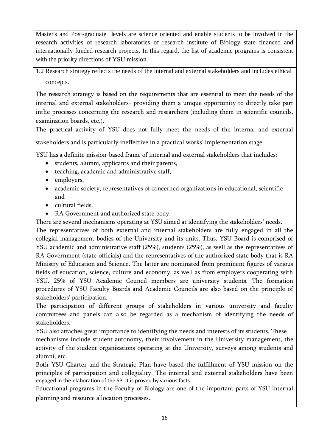Master's and Post-graduate levels are science oriented and enable students to be involved in the research activities of research laboratories of research institute of Biology state financed and internationally funded research projects. In this regard, the list of academic programs is consistent with the priority directions of YSU mission.

1.2 Research strategy reflects the needs of the internal and external stakeholders and includes ethical concepts.

The research strategy is based on the requirements that are essential to meet the needs of the internal and external stakeholders- providing them a unique opportunity to directly take part inthe processes concerning the research and researchers (including them in scientific councils, examination boards, etc.).

The practical activity of YSU does not fully meet the needs of the internal and external

stakeholders and is particularly ineffective in a practical works' implementation stage.

YSU has a definite mission-based frame of internal and external stakeholders that includes:

- students, alumni, applicants and their parents,
- teaching, academic and administrative staff,
- employers,
- academic society, representatives of concerned organizations in educational, scientific and
- cultural fields,
- RA Government and authorized state body.

There are several mechanisms operating at YSU aimed at identifying the stakeholders' needs. The representatives of both external and internal stakeholders are fully engaged in all the collegial management bodies of the University and its units. Thus, YSU Board is comprised of YSU academic and administrative staff (25%), students (25%), as well as the representatives of RA Government (state officials) and the representatives of the authorized state body that is RA Ministry of Education and Science. The latter are nominated from prominent figures of various fields of education, science, culture and economy, as well as from employers cooperating with YSU. 25% of YSU Academic Council members are university students. The formation procedures of YSU Faculty Boards and Academic Councils are also based on the principle of stakeholders' participation.

The participation of different groups of stakeholders in various university and faculty committees and panels can also be regarded as a mechanism of identifying the needs of stakeholders.

YSU also attaches great importance to identifying the needs and interests of its students. These mechanisms include student autonomy, their involvement in the University management, the activity of the student organizations operating at the University, surveys among students and alumni, etc.

Both YSU Charter and the Strategic Plan have based the fulfillment of YSU mission on the principles of participation and collegiality. The internal and external stakeholders have been engaged in the elaboration of the SP. It is proved by various facts.

Educational programs in the Faculty of Biology are one of the important parts of YSU internal planning and resource allocation processes.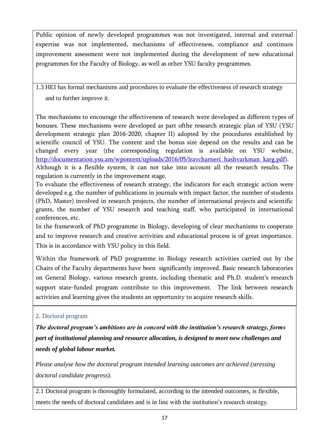Public opinion of newly developed programmes was not investigated, internal and external expertise was not implemented, mechanisms of effectiveness, compliance and continuos improvement assessment were not implemented during the development of new educational programmes for the Faculty of Biology, as well as other YSU faculty programmes.

1.3 HEI has formal mechanisms and procedures to evaluate the effectiveness of research strategy and to further improve it.

The mechanisms to encourage the effectiveness of research were developed as different types of bonuses. These mechanisms were developed as part ofthe research strategic plan of YSU (YSU development strategic plan 2016-2020, chapter II) adopted by the procedures established by scientific council of YSU. The content and the bonus size depend on the results and can be changed every year (the corresponding regulation is available on YSU website, [http://documentation.ysu.am/wpontent/uploads/2016/05/lravcharneri\\_hashvarkman\\_karg.pdf\)](http://documentation.ysu.am/wpontent/uploads/2016/05/lravcharneri_hashvarkman_karg.pdf). Although it is a flexible system, it can not take into account all the research results. The regulation is currently in the improvement stage.

To evaluate the effectiveness of research strategy, the indicators for each strategic action were developed e.g. the number of publications in journals with impact factor, the number of students (PhD, Master) involved in research projects, the number of international projects and scientific grants, the number of YSU research and teaching staff, who participated in international conferences, etc.

In the framework of PhD programme in Biology, developing of clear mechanisms to cooperate and to improve research and creative activities and educational process is of great importance. This is in accordance with YSU policy in this field.

Within the framework of PhD programme in Biology research activities carried out by the Chairs of the Faculty departments have been significantly improved. Basic research laboratories on General Biology, various research grants, including thematic and Ph.D. student's research support state-funded program contribute to this improvement. The link between research activities and learning gives the students an opportunity to acquire research skills.

#### <span id="page-16-0"></span>2. Doctoral program

*The doctoral program's ambitions are in concord with the institution's research strategy, forms part of institutional planning and resource allocation, is designed to meet new challenges and needs of global labour market.* 

*Please analyse how the doctoral program intended learning outcomes are achieved (stressing doctoral candidate progress).*

2.1 Doctoral program is thoroughly formulated, according to the intended outcomes, is flexible, meets the needs of doctoral candidates and is in line with the institution's research strategy.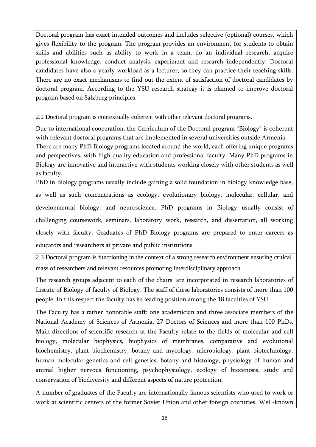Doctoral program has exact intended outcomes and includes selective (optional) courses, which gives flexibility to the program. The program provides an environment for students to obtain skills and abilities such as ability to work in a team, do an individual research, acquire professional knowledge, conduct analysis, experiment and research independently. Doctoral candidates have also a yearly workload as a lecturer, so they can practice their teaching skills. There are no exact mechanisms to find out the extent of satisfaction of doctoral candidates by doctoral program. According to the YSU research strategy it is planned to improve doctoral program based on Salzburg principles.

2.2 Doctoral program is contextually coherent with other relevant doctoral programs.

Due to international cooperation, the Curriculum of the Doctoral program "Biology" is coherent with relevant doctoral programs that are implemented in several universities outside Armenia. There are many PhD Biology programs located around the world, each offering unique programs and perspectives, with high quality education and professional faculty. Many PhD programs in Biology are innovative and interactive with students working closely with other students as well as faculty.

PhD in Biology programs usually include gaining a solid foundation in biology knowledge base, as well as such concentrations as ecology, evolutionary biology, molecular, cellular, and developmental biology, and neuroscience. PhD programs in Biology usually consist of challenging coursework, seminars, laboratory work, research, and dissertation, all working closely with faculty. Graduates of PhD Biology programs are prepared to enter careers as educators and researchers at private and public institutions.

2.3 Doctoral program is functioning in the context of a strong research environment ensuring critical mass of researchers and relevant resources promoting interdisciplinary approach.

The research groups adjacent to each of the chairs are incorporated in research laboratories of Instute of Biology of faculty of Biology. The staff of these laboratories consists of more than 100 people. In this respect the faculty has its leading position among the 18 faculties of YSU.

The Faculty has a rather honorable staff: one academician and three associate members of the National Academy of Sciences of Armenia, 27 Doctors of Sciences and more than 100 PhDs. Main directions of scientific research at the Faculty relate to the fields of molecular and cell biology, molecular biophysics, biophysics of membranes, comparative and evolutional biochemistry, plant biochemistry, botany and mycology, microbiology, plant biotechnology, human molecular genetics and cell genetics, botany and histology, physiology of human and animal higher nervous functioning, psychophysiology, ecology of biocenosis, study and conservation of biodiversity and different aspects of nature protection.

A number of graduates of the Faculty are internationally famous scientists who used to work or work at scientific centers of the former Soviet Union and other foreign countries. Well-known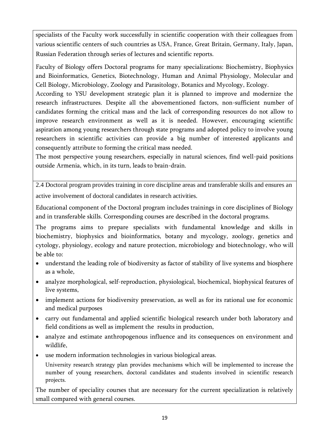specialists of the Faculty work successfully in scientific cooperation with their colleagues from various scientific centers of such countries as USA, France, Great Britain, Germany, Italy, Japan, Russian Federation through series of lectures and scientific reports.

Faculty of Biology offers Doctoral programs for many specializations: Biochemistry, Biophysics and Bioinformatics, Genetics, Biotechnology, Human and Animal Physiology, Molecular and Cell Biology, Microbiology, Zoology and Parasitology, Botanics and Mycology, Ecology.

According to YSU development strategic plan it is planned to improve and modernize the research infrastructures. Despite all the abovementioned factors, non-sufficient number of candidates forming the critical mass and the lack of corresponding resources do not allow to improve research environment as well as it is needed. However, encouraging scientific aspiration among young researchers through state programs and adopted policy to involve young researchers in scientific activities can provide a big number of interested applicants and consequently attribute to forming the critical mass needed.

The most perspective young researchers, especially in natural sciences, find well-paid positions outside Armenia, which, in its turn, leads to brain-drain.

2.4 Doctoral program provides training in core discipline areas and transferable skills and ensures an active involvement of doctoral candidates in research activities.

Educational component of the Doctoral program includes trainings in core disciplines of Biology and in transferable skills. Corresponding courses are described in the doctoral programs.

The programs aims to prepare specialists with fundamental knowledge and skills in biochemistry, biophysics and bioinformatics, botany and mycology, zoology, genetics and cytology, physiology, ecology and nature protection, microbiology and biotechnology, who will be able to:

- understand the leading role of biodiversity as factor of stability of live systems and biosphere as a whole,
- analyze morphological, self-reproduction, physiological, biochemical, biophysical features of live systems,
- implement actions for biodiversity preservation, as well as for its rational use for economic and medical purposes
- carry out fundamental and applied scientific biological research under both laboratory and field conditions as well as implement the results in production,
- analyze and estimate anthropogenous influence and its consequences on environment and wildlife,
- use modern information technologies in various biological areas.

University research strategy plan provides mechanisms which will be implemented to increase the number of young researchers, doctoral candidates and students involved in scientific research projects.

The number of speciality courses that are necessary for the current specialization is relatively small compared with general courses.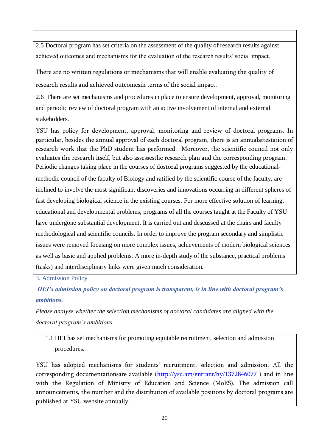2.5 Doctoral program has set criteria on the assessment of the quality of research results against achieved outcomes and mechanisms for the evaluation of the research results' social impact.

There are no written regulations or mechanisms that will enable evaluating the quality of research results and achieved outcomesin terms of the social impact.

2.6 There are set mechanisms and procedures in place to ensure development, approval, monitoring and periodic review of doctoral program with an active involvement of internal and external stakeholders.

YSU has policy for development, approval, monitoring and review of doctoral programs. In particular, besides the annual approval of each doctoral program, there is an annualattestation of research work that the PhD student has performed. Moreover, the scientific council not only evaluates the research itself, but also assessesthe research plan and the corresponding program. Periodic changes taking place in the courses of dostoral programs suggested by the educational-

methodic council of the faculty of Biology and ratified by the scientific course of the faculty, are inclined to involve the most significant discoveries and innovations occurring in different spheres of fast developing biological science in the existing courses. For more effective solution of learning, educational and developmental problems, programs of all the courses taught at the Faculty of YSU have undergone substantial development. It is carried out and descussed at the chairs and faculty methodological and scientific councils. In order to improve the program secondary and simplistic issues were removed focusing on more complex issues, achievements of modern biological sciences as well as basic and applied problems. A more in-depth study of the substance, practical problems (tasks) and interdisciplinary links were given much consideration.

<span id="page-19-0"></span>3. Admission Policy

<span id="page-19-1"></span>*HEI's admission policy on doctoral program is transparent, is in line with doctoral program's ambitions.*

*Please analyse whether the selection mechanisms of doctoral candidates are aligned with the doctoral program's ambitions.*

1.1 HEI has set mechanisms for promoting equitable recruitment, selection and admission procedures.

YSU has adopted mechanisms for students' recruitment, selection and admission. All the corresponding documentationsare available  $(\frac{http://ysu,am/entrant/hv/1372846077}{http://ysu,am/entrant/hv/1372846077})$  and in line with the Regulation of Ministry of Education and Science (MoES). The admission call announcements, the number and the distribution of available positions by doctoral programs are published at YSU website annually.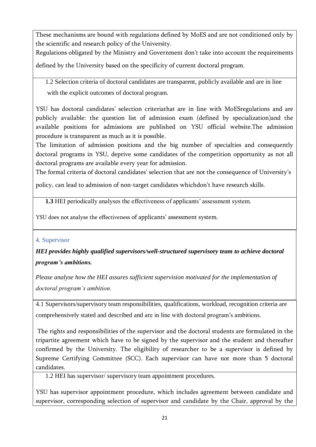These mechanisms are bound with regulations defined by MoES and are not conditioned only by the scientific and research policy of the University.

Regulations obligated by the Ministry and Government don't take into account the requirements

defined by the University based on the specificity of current doctoral program.

1.2 Selection criteria of doctoral candidates are transparent, publicly available and are in line with the explicit outcomes of doctoral program.

YSU has doctoral candidates' selection criteriathat are in line with MoESregulations and are publicly available: the question list of admission exam (defined by specialization)and the available positions for admissions are published on YSU official website.The admission procedure is transparent as much as it is possible.

The limitation of admission positions and the big number of specialties and consequently doctoral programs in YSU, deprive some candidates of the competition opportunity as not all doctoral programs are available every year for admission.

The formal criteria of doctoral candidates' selection that are not the consequence of University's

policy, can lead to admission of non-target candidates whichdon't have research skills.

**1.3** HEI periodically analyses the effectiveness of applicants' assessment system.

YSU does not analyse the effectiveness of applicants' assessment system.

#### <span id="page-20-0"></span>4. Supervisor

*HEI provides highly qualified supervisors/well-structured supervisory team to achieve doctoral program's ambitions.*

*Please analyse how the HEI assures sufficient supervision motivated for the implementation of doctoral program's ambition.* 

4.1 Supervisors/supervisory team responsibilities, qualifications, workload, recognition criteria are comprehensively stated and described and are in line with doctoral program's ambitions.

The rights and responsibilities of the supervisor and the doctoral students are formulated in the tripartite agreement which have to be signed by the supervisor and the student and thereafter confirmed by the University. The eligibility of researcher to be a supervisor is defined by Supreme Certifying Committee (SCC). Each supervisor can have not more than 5 doctoral candidates.

1.2 HEI has supervisor/ supervisory team appointment procedures.

YSU has supervisor appointment procedure, which includes agreement between candidate and supervisor, corresponding selection of supervisor and candidate by the Chair, approval by the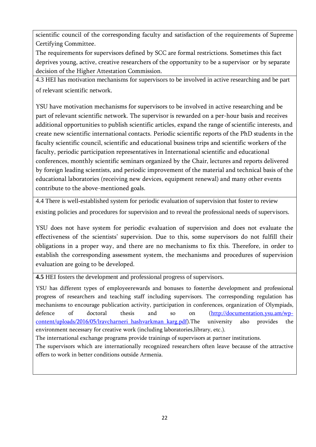scientific council of the corresponding faculty and satisfaction of the requirements of Supreme Certifying Committee.

The requirements for supervisors defined by SCC are formal restrictions. Sometimes this fact deprives young, active, creative researchers of the opportunity to be a supervisor or by separate decision of the Higher Attestation Commission.

4.3 HEI has motivation mechanisms for supervisors to be involved in active researching and be part of relevant scientific network.

YSU have motivation mechanisms for supervisors to be involved in active researching and be part of relevant scientific network. The supervisor is rewarded on a per-hour basis and receives additional opportunities to publish scientific articles, expand the range of scientific interests, and create new scientific international contacts. Periodic scientific reports of the PhD students in the faculty scientific council, scientific and educational business trips and scientific workers of the faculty, periodic participation representatives in International scientific and educational conferences, monthly scientific seminars organized by the Chair, lectures and reports delivered by foreign leading scientists, and periodic improvement of the material and technical basis of the educational laboratories (receiving new devices, equipment renewal) and many other events contribute to the above-mentioned goals.

4.4 There is well-established system for periodic evaluation of supervision that foster to review existing policies and procedures for supervision and to reveal the professional needs of supervisors.

YSU does not have system for periodic evaluation of supervision and does not evaluate the effectiveness of the scientists' supervision. Due to this, some supervisors do not fulfill their obligations in a proper way, and there are no mechanisms to fix this. Therefore, in order to establish the corresponding assessment system, the mechanisms and procedures of supervision evaluation are going to be developed.

**4.5** HEI fosters the development and professional progress of supervisors.

YSU has different types of employeerewards and bonuses to fosterthe development and professional progress of researchers and teaching staff including supervisors. The corresponding regulation has mechanisms to encourage publication activity, participation in conferences, organization of Olympiads, defence of doctoral thesis and so on [\(http://documentation.ysu.am/wp](http://documentation.ysu.am/wp-content/uploads/2016/05/lravcharneri_hashvarkman_karg.pdf)[content/uploads/2016/05/lravcharneri\\_hashvarkman\\_karg.pdf\)](http://documentation.ysu.am/wp-content/uploads/2016/05/lravcharneri_hashvarkman_karg.pdf).The university also provides the environment necessary for creative work (including laboratories,library, etc.).

The international exchange programs provide trainings of supervisors at partner institutions.

The supervisors which are internationally recognized researchers often leave because of the attractive offers to work in better conditions outside Armenia.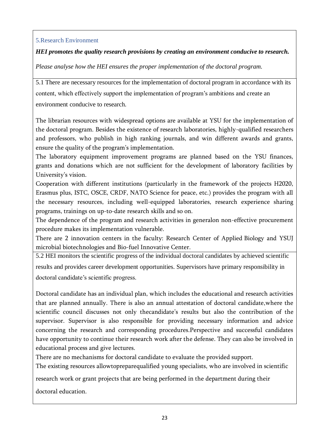#### <span id="page-22-0"></span>5.Research Environment

### *HEI promotes the quality research provisions by creating an environment conducive to research.*

*Please analyse how the HEI ensures the proper implementation of the doctoral program.*

5.1 There are necessary resources for the implementation of doctoral program in accordance with its content, which effectively support the implementation of program's ambitions and create an environment conducive to research.

The librarian resources with widespread options are available at YSU for the implementation of the doctoral program. Besides the existence of research laboratories, highly-qualified researchers and professors, who publish in high ranking journals, and win different awards and grants, ensure the quality of the program's implementation.

The laboratory equipment improvement programs are planned based on the YSU finances, grants and donations which are not sufficient for the development of laboratory facilities by University's vision.

Cooperation with different institutions (particularly in the framework of the projects H2020, Erasmus plus, ISTC, OSCE, CRDF, NATO Science for peace, etc.) provides the program with all the necessary resources, including well-equipped laboratories, research experience sharing programs, trainings on up-to-date research skills and so on.

The dependence of the program and research activities in generalon non-effective procurement procedure makes its implementation vulnerable.

There are 2 innovation centers in the faculty: Research Center of Applied Biology and YSUJ microbial biotechnologies and Bio-fuel Innovative Center.

5.2 HEI monitors the scientific progress of the individual doctoral candidates by achieved scientific results and provides career development opportunities. Supervisors have primary responsibility in doctoral candidate's scientific progress.

Doctoral candidate has an individual plan, which includes the educational and research activities that are planned annually. There is also an annual attestation of doctoral candidate,where the scientific council discusses not only thecandidate's results but also the contribution of the supervisor. Supervisor is also responsible for providing necessary information and advice concerning the research and corresponding procedures.Perspective and successful candidates have opportunity to continue their research work after the defense. They can also be involved in educational process and give lectures.

There are no mechanisms for doctoral candidate to evaluate the provided support.

The existing resources allowtopreparequalified young specialists, who are involved in scientific

research work or grant projects that are being performed in the department during their

doctoral education.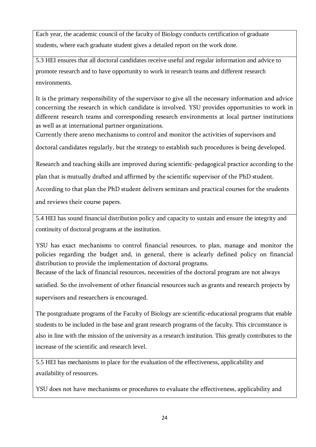Each year, the academic council of the faculty of Biology conducts certification of graduate students, where each graduate student gives a detailed report on the work done.

5.3 HEI ensures that all doctoral candidates receive useful and regular information and advice to promote research and to have opportunity to work in research teams and different research environments.

It is the primary responsibility of the supervisor to give all the necessary information and advice concerning the research in which candidate is involved. YSU provides opportunities to work in different research teams and corresponding research environments at local partner institutions as well as at international partner organizations.

Currently there areno mechanisms to control and monitor the activities of supervisors and

doctoral candidates regularly, but the strategy to establish such procedures is being developed.

Research and teaching skills are improved during scientific-pedagogical practice according to the

plan that is mutually drafted and affirmed by the scientific supervisor of the PhD student.

According to that plan the PhD student delivers seminars and practical courses for the srudents and reviews their course papers.

5.4 HEI has sound financial distribution policy and capacity to sustain and ensure the integrity and continuity of doctoral programs at the institution.

YSU has exact mechanisms to control financial resources, to plan, manage and monitor the policies regarding the budget and, in general, there is aclearly defined policy on financial distribution to provide the implementation of doctoral programs.

Because of the lack of financial resources, necessities of the doctoral program are not always

satisfied. So the involvement of other financial resources such as grants and research projects by supervisors and researchers is encouraged.

The postgraduate programs of the Faculty of Biology are scientific-educational programs that enable students to be included in the base and grant research programs of the faculty. This circumstance is also in line with the mission of the university as a research institution. This greatly contributes to the increase of the scientific and research level.

5.5 HEI has mechanisms in place for the evaluation of the effectiveness, applicability and availability of resources.

YSU does not have mechanisms or procedures to evaluate the effectiveness, applicability and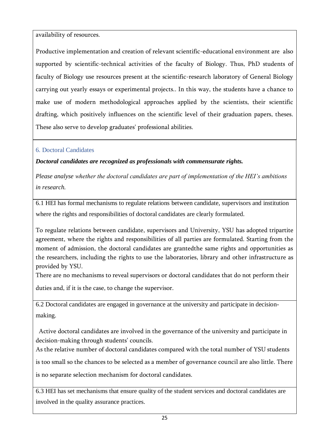availability of resources.

Productive implementation and creation of relevant scientific-educational environment are also supported by scientific-technical activities of the faculty of Biology. Thus, PhD students of faculty of Biology use resources present at the scientific-research laboratory of General Biology carrying out yearly essays or experimental projects.. In this way, the students have a chance to make use of modern methodological approaches applied by the scientists, their scientific drafting, which positively influences on the scientific level of their graduation papers, theses. These also serve to develop graduates' professional abilities.

# <span id="page-24-0"></span>6. Doctoral Candidates

*Doctoral candidates are recognized as professionals with commensurate rights.* 

*Please analyse whether the doctoral candidates are part of implementation of the HEI's ambitions in research.* 

6.1 HEI has formal mechanisms to regulate relations between candidate, supervisors and institution where the rights and responsibilities of doctoral candidates are clearly formulated.

To regulate relations between candidate, supervisors and University, YSU has adopted tripartite agreement, where the rights and responsibilities of all parties are formulated. Starting from the moment of admission, the doctoral candidates are grantedthe same rights and opportunities as the researchers, including the rights to use the laboratories, library and other infrastructure as provided by YSU.

There are no mechanisms to reveal supervisors or doctoral candidates that do not perform their

duties and, if it is the case, to change the supervisor.

6.2 Doctoral candidates are engaged in governance at the university and participate in decisionmaking.

 Active doctoral candidates are involved in the governance of the university and participate in decision-making through students' councils.

As the relative number of doctoral candidates compared with the total number of YSU students

is too small so the chances to be selected as a member of governance council are also little. There

is no separate selection mechanism for doctoral candidates.

6.3 HEI has set mechanisms that ensure quality of the student services and doctoral candidates are involved in the quality assurance practices.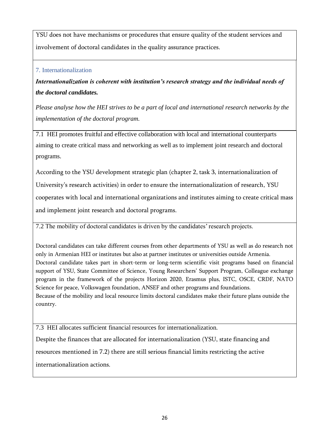YSU does not have mechanisms or procedures that ensure quality of the student services and involvement of doctoral candidates in the quality assurance practices.

#### <span id="page-25-0"></span>7. Internationalization

*Internationalization is coherent with institution's research strategy and the individual needs of the doctoral candidates.* 

*Please analyse how the HEI strives to be a part of local and international research networks by the implementation of the doctoral program.*

7.1 HEI promotes fruitful and effective collaboration with local and international counterparts aiming to create critical mass and networking as well as to implement joint research and doctoral programs.

According to the YSU development strategic plan (chapter 2, task 3, internationalization of

University's research activities) in order to ensure the internationalization of research, YSU

cooperates with local and international organizations and institutes aiming to create critical mass

and implement joint research and doctoral programs.

7.2 The mobility of doctoral candidates is driven by the candidates' research projects.

Doctoral candidates can take different courses from other departments of YSU as well as do research not only in Armenian HEI or institutes but also at partner institutes or universities outside Armenia. Doctoral candidate takes part in short-term or long-term scientific visit programs based on financial support of YSU, State Committee of Science, Young Researchers' Support Program, Colleague exchange program in the framework of the projects Horizon 2020, Erasmus plus, ISTC, OSCE, CRDF, NATO Science for peace, Volkswagen foundation, ANSEF and other programs and foundations. Because of the mobility and local resource limits doctoral candidates make their future plans outside the country.

7.3 HEI allocates sufficient financial resources for internationalization.

Despite the finances that are allocated for internationalization (YSU, state financing and resources mentioned in 7.2) there are still serious financial limits restricting the active internationalization actions.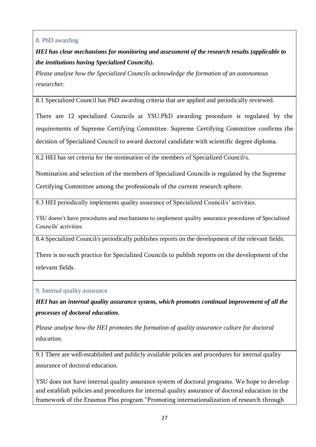#### <span id="page-26-0"></span>8. PhD awarding

*HEI has clear mechanisms for monitoring and assessment of the research results (applicable to the institutions having Specialized Councils).* 

*Please analyse how the Specialized Councils acknowledge the formation of an autonomous researcher.* 

8.1 Specialized Council has PhD awarding criteria that are applied and periodically reviewed.

There are 12 specialized Councils at YSU.PhD awarding procedure is regulated by the requirements of Supreme Certifying Committee. Supreme Certifying Committee confirms the decision of Specialized Council to award doctoral candidate with scientific degree diploma.

8.2 HEI has set criteria for the nomination of the members of Specialized Council/s.

Nomination and selection of the members of Specialized Councils is regulated by the Supreme

Certifying Committee among the professionals of the current research sphere.

8.3 HEI periodically implements quality assurance of Specialized Council/s' activities.

YSU doesn't have procedures and mechanisms to implement quality assurance procedures of Specialized Councils' activities.

8.4 Specialized Council/s periodically publishes reports on the development of the relevant fields.

There is no such practice for Specialized Councils to publish reports on the development of the relevant fields.

<span id="page-26-1"></span>9. Internal quality assurance

*HEI has an internal quality assurance system, which promotes continual improvement of all the processes of doctoral education.* 

*Please analyse how the HEI promotes the formation of quality assurance culture for doctoral education.*

9.1 There are well-established and publicly available policies and procedures for internal quality assurance of doctoral education.

YSU does not have internal quality assurance system of doctoral programs. We hope to develop and establish policies and procedures for internal quality assurance of doctoral education in the framework of the Erasmus Plus program "Promoting internationalization of research through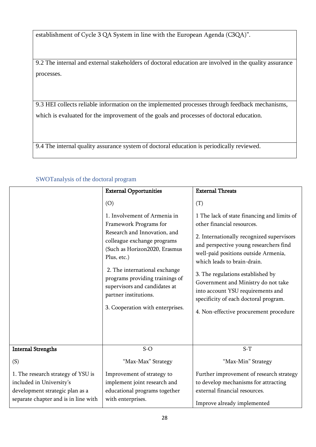establishment of Cycle 3 QA System in line with the European Agenda (C3QA)".

9.2 The internal and external stakeholders of doctoral education are involved in the quality assurance processes.

9.3 HEI collects reliable information on the implemented processes through feedback mechanisms, which is evaluated for the improvement of the goals and processes of doctoral education.

9.4 The internal quality assurance system of doctoral education is periodically reviewed.

|                                                                                                                                           | <b>External Opportunities</b>                                                                                                                                                                                                                                                                                                                  | <b>External Threats</b>                                                                                                                                                                                                                                                                                                                                                                                                                            |  |
|-------------------------------------------------------------------------------------------------------------------------------------------|------------------------------------------------------------------------------------------------------------------------------------------------------------------------------------------------------------------------------------------------------------------------------------------------------------------------------------------------|----------------------------------------------------------------------------------------------------------------------------------------------------------------------------------------------------------------------------------------------------------------------------------------------------------------------------------------------------------------------------------------------------------------------------------------------------|--|
|                                                                                                                                           | (O)<br>1. Involvement of Armenia in<br>Framework Programs for<br>Research and Innovation, and<br>colleague exchange programs<br>(Such as Horizon2020, Erasmus<br>Plus, etc.)<br>2. The international exchange<br>programs providing trainings of<br>supervisors and candidates at<br>partner institutions.<br>3. Cooperation with enterprises. | (T)<br>1 The lack of state financing and limits of<br>other financial resources.<br>2. Internationally recognized supervisors<br>and perspective young researchers find<br>well-paid positions outside Armenia,<br>which leads to brain-drain.<br>3. The regulations established by<br>Government and Ministry do not take<br>into account YSU requirements and<br>specificity of each doctoral program.<br>4. Non-effective procurement procedure |  |
| <b>Internal Strengths</b>                                                                                                                 | $S-O$                                                                                                                                                                                                                                                                                                                                          | $S-T$                                                                                                                                                                                                                                                                                                                                                                                                                                              |  |
|                                                                                                                                           |                                                                                                                                                                                                                                                                                                                                                |                                                                                                                                                                                                                                                                                                                                                                                                                                                    |  |
| (S)                                                                                                                                       | "Max-Max" Strategy                                                                                                                                                                                                                                                                                                                             | "Max-Min" Strategy                                                                                                                                                                                                                                                                                                                                                                                                                                 |  |
| 1. The research strategy of YSU is<br>included in University's<br>development strategic plan as a<br>separate chapter and is in line with | Improvement of strategy to<br>implement joint research and<br>educational programs together<br>with enterprises.                                                                                                                                                                                                                               | Further improvement of research strategy<br>to develop mechanisms for attracting<br>external financial resources.<br>Improve already implemented                                                                                                                                                                                                                                                                                                   |  |

#### <span id="page-27-0"></span>SWOTanalysis of the doctoral program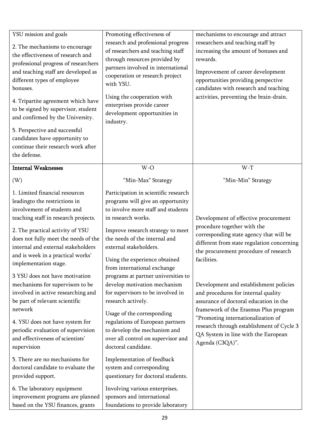| YSU mission and goals<br>2. The mechanisms to encourage<br>the effectiveness of research and<br>professional progress of researchers<br>and teaching staff are developed as<br>different types of employee<br>bonuses.<br>4. Tripartite agreement which have<br>to be signed by supervisor, student | Promoting effectiveness of<br>research and professional progress<br>of researchers and teaching staff<br>through resources provided by<br>partners involved in international<br>cooperation or research project<br>with YSU.<br>Using the cooperation with<br>enterprises provide career<br>development opportunities in | mechanisms to encourage and attract<br>researchers and teaching staff by<br>increasing the amount of bonuses and<br>rewards.<br>Improvement of career development<br>opportunities providing perspective<br>candidates with research and teaching<br>activities, preventing the brain-drain. |
|-----------------------------------------------------------------------------------------------------------------------------------------------------------------------------------------------------------------------------------------------------------------------------------------------------|--------------------------------------------------------------------------------------------------------------------------------------------------------------------------------------------------------------------------------------------------------------------------------------------------------------------------|----------------------------------------------------------------------------------------------------------------------------------------------------------------------------------------------------------------------------------------------------------------------------------------------|
| and confirmed by the University.<br>5. Perspective and successful<br>candidates have opportunity to<br>continue their research work after<br>the defense.                                                                                                                                           | industry.                                                                                                                                                                                                                                                                                                                |                                                                                                                                                                                                                                                                                              |
| <b>Internal Weaknesses</b>                                                                                                                                                                                                                                                                          | W-O                                                                                                                                                                                                                                                                                                                      | $W-T$                                                                                                                                                                                                                                                                                        |
| (W)                                                                                                                                                                                                                                                                                                 | "Min-Max" Strategy                                                                                                                                                                                                                                                                                                       | "Min-Min" Strategy                                                                                                                                                                                                                                                                           |
| 1. Limited financial resources<br>leadingto the restrictions in<br>involvement of students and<br>teaching staff in research projects.<br>2. The practical activity of YSU                                                                                                                          | Participation in scientific research<br>programs will give an opportunity<br>to involve more staff and students<br>in research works.<br>Improve research strategy to meet                                                                                                                                               | Development of effective procurement<br>procedure together with the                                                                                                                                                                                                                          |
| does not fully meet the needs of the<br>internal and external stakeholders<br>and is week in a practical works'<br>implementation stage.                                                                                                                                                            | the needs of the internal and<br>external stakeholders.<br>Using the experience obtained<br>from international exchange                                                                                                                                                                                                  | corresponding state agency that will be<br>different from state regulation concerning<br>the procurement procedure of research<br>facilities.                                                                                                                                                |
| 3 YSU does not have motivation<br>mechanisms for supervisors to be<br>involved in active researching and<br>be part of relevant scientific<br>network                                                                                                                                               | programs at partner universities to<br>develop motivation mechanism<br>for supervisors to be involved in<br>research actively.<br>Usage of the corresponding                                                                                                                                                             | Development and establishment policies<br>and procedures for internal quality<br>assurance of doctoral education in the<br>framework of the Erasmus Plus program                                                                                                                             |
| 4. YSU does not have system for<br>periodic evaluation of supervision<br>and effectiveness of scientists'<br>supervision                                                                                                                                                                            | regulations of European partners<br>to develop the mechanism and<br>over all control on supervisor and<br>doctoral candidate.                                                                                                                                                                                            | "Promoting internationalization of<br>research through establishment of Cycle 3<br>QA System in line with the European<br>Agenda (C3QA)".                                                                                                                                                    |
| 5. There are no mechanisms for<br>doctoral candidate to evaluate the<br>provided support.                                                                                                                                                                                                           | Implementation of feedback<br>system and corresponding<br>questionary for doctoral students.                                                                                                                                                                                                                             |                                                                                                                                                                                                                                                                                              |
| 6. The laboratory equipment<br>improvement programs are planned<br>based on the YSU finances, grants                                                                                                                                                                                                | Involving various enterprises,<br>sponsors and international<br>foundations to provide laboratory                                                                                                                                                                                                                        |                                                                                                                                                                                                                                                                                              |